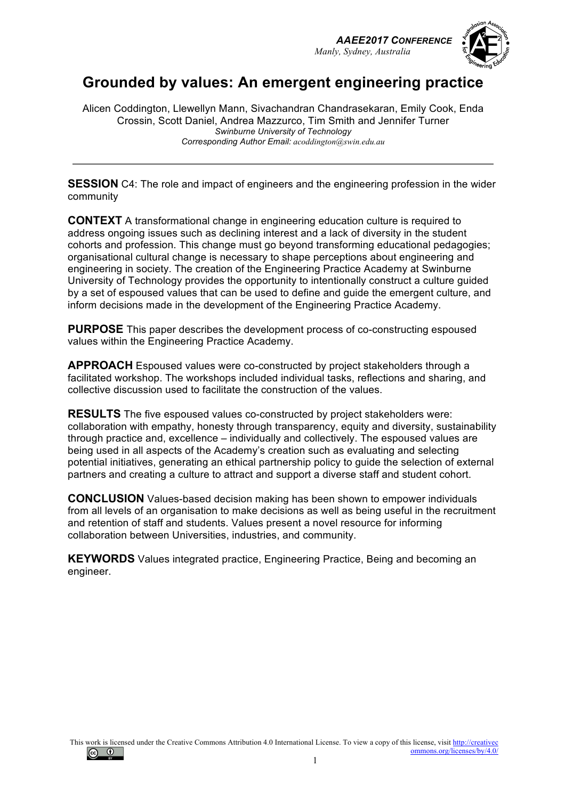



# **Grounded by values: An emergent engineering practice**

Alicen Coddington, Llewellyn Mann, Sivachandran Chandrasekaran, Emily Cook, Enda Crossin, Scott Daniel, Andrea Mazzurco, Tim Smith and Jennifer Turner *Swinburne University of Technology Corresponding Author Email: acoddington@swin.edu.au*

**SESSION** C4: The role and impact of engineers and the engineering profession in the wider community

**CONTEXT** A transformational change in engineering education culture is required to address ongoing issues such as declining interest and a lack of diversity in the student cohorts and profession. This change must go beyond transforming educational pedagogies; organisational cultural change is necessary to shape perceptions about engineering and engineering in society. The creation of the Engineering Practice Academy at Swinburne University of Technology provides the opportunity to intentionally construct a culture guided by a set of espoused values that can be used to define and guide the emergent culture, and inform decisions made in the development of the Engineering Practice Academy.

**PURPOSE** This paper describes the development process of co-constructing espoused values within the Engineering Practice Academy.

**APPROACH** Espoused values were co-constructed by project stakeholders through a facilitated workshop. The workshops included individual tasks, reflections and sharing, and collective discussion used to facilitate the construction of the values.

**RESULTS** The five espoused values co-constructed by project stakeholders were: collaboration with empathy, honesty through transparency, equity and diversity, sustainability through practice and, excellence – individually and collectively. The espoused values are being used in all aspects of the Academy's creation such as evaluating and selecting potential initiatives, generating an ethical partnership policy to guide the selection of external partners and creating a culture to attract and support a diverse staff and student cohort.

**CONCLUSION** Values-based decision making has been shown to empower individuals from all levels of an organisation to make decisions as well as being useful in the recruitment and retention of staff and students. Values present a novel resource for informing collaboration between Universities, industries, and community.

**KEYWORDS** Values integrated practice, Engineering Practice, Being and becoming an engineer.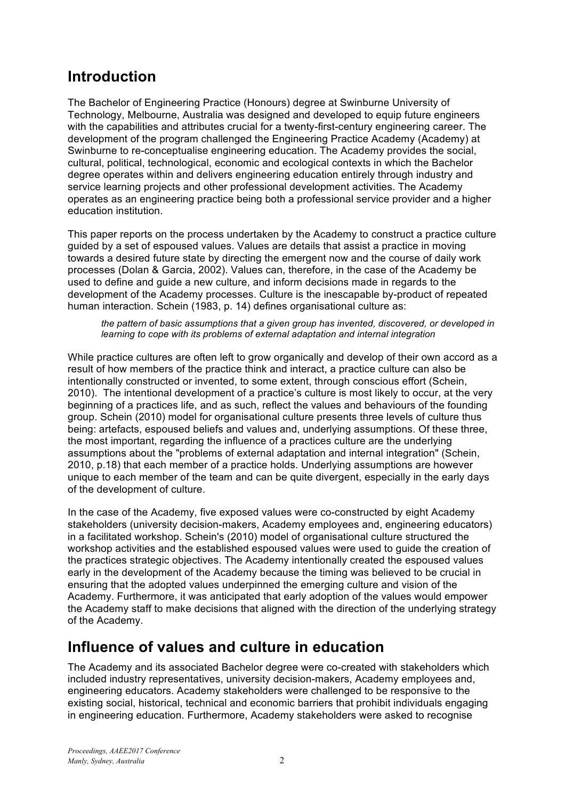# **Introduction**

The Bachelor of Engineering Practice (Honours) degree at Swinburne University of Technology, Melbourne, Australia was designed and developed to equip future engineers with the capabilities and attributes crucial for a twenty-first-century engineering career. The development of the program challenged the Engineering Practice Academy (Academy) at Swinburne to re-conceptualise engineering education. The Academy provides the social, cultural, political, technological, economic and ecological contexts in which the Bachelor degree operates within and delivers engineering education entirely through industry and service learning projects and other professional development activities. The Academy operates as an engineering practice being both a professional service provider and a higher education institution.

This paper reports on the process undertaken by the Academy to construct a practice culture guided by a set of espoused values. Values are details that assist a practice in moving towards a desired future state by directing the emergent now and the course of daily work processes (Dolan & Garcia, 2002). Values can, therefore, in the case of the Academy be used to define and guide a new culture, and inform decisions made in regards to the development of the Academy processes. Culture is the inescapable by-product of repeated human interaction. Schein (1983, p. 14) defines organisational culture as:

*the pattern of basic assumptions that a given group has invented, discovered, or developed in learning to cope with its problems of external adaptation and internal integration*

While practice cultures are often left to grow organically and develop of their own accord as a result of how members of the practice think and interact, a practice culture can also be intentionally constructed or invented, to some extent, through conscious effort (Schein, 2010). The intentional development of a practice's culture is most likely to occur, at the very beginning of a practices life, and as such, reflect the values and behaviours of the founding group. Schein (2010) model for organisational culture presents three levels of culture thus being: artefacts, espoused beliefs and values and, underlying assumptions. Of these three, the most important, regarding the influence of a practices culture are the underlying assumptions about the "problems of external adaptation and internal integration" (Schein, 2010, p.18) that each member of a practice holds. Underlying assumptions are however unique to each member of the team and can be quite divergent, especially in the early days of the development of culture.

In the case of the Academy, five exposed values were co-constructed by eight Academy stakeholders (university decision-makers, Academy employees and, engineering educators) in a facilitated workshop. Schein's (2010) model of organisational culture structured the workshop activities and the established espoused values were used to guide the creation of the practices strategic objectives. The Academy intentionally created the espoused values early in the development of the Academy because the timing was believed to be crucial in ensuring that the adopted values underpinned the emerging culture and vision of the Academy. Furthermore, it was anticipated that early adoption of the values would empower the Academy staff to make decisions that aligned with the direction of the underlying strategy of the Academy.

## **Influence of values and culture in education**

The Academy and its associated Bachelor degree were co-created with stakeholders which included industry representatives, university decision-makers, Academy employees and, engineering educators. Academy stakeholders were challenged to be responsive to the existing social, historical, technical and economic barriers that prohibit individuals engaging in engineering education. Furthermore, Academy stakeholders were asked to recognise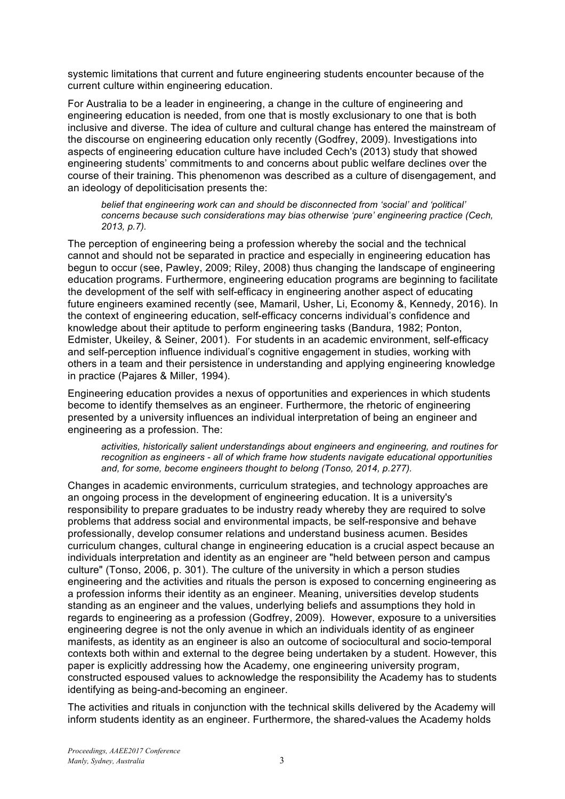systemic limitations that current and future engineering students encounter because of the current culture within engineering education.

For Australia to be a leader in engineering, a change in the culture of engineering and engineering education is needed, from one that is mostly exclusionary to one that is both inclusive and diverse. The idea of culture and cultural change has entered the mainstream of the discourse on engineering education only recently (Godfrey, 2009). Investigations into aspects of engineering education culture have included Cech's (2013) study that showed engineering students' commitments to and concerns about public welfare declines over the course of their training. This phenomenon was described as a culture of disengagement, and an ideology of depoliticisation presents the:

*belief that engineering work can and should be disconnected from 'social' and 'political' concerns because such considerations may bias otherwise 'pure' engineering practice (Cech, 2013, p.7).* 

The perception of engineering being a profession whereby the social and the technical cannot and should not be separated in practice and especially in engineering education has begun to occur (see, Pawley, 2009; Riley, 2008) thus changing the landscape of engineering education programs. Furthermore, engineering education programs are beginning to facilitate the development of the self with self-efficacy in engineering another aspect of educating future engineers examined recently (see, Mamaril, Usher, Li, Economy &, Kennedy, 2016). In the context of engineering education, self-efficacy concerns individual's confidence and knowledge about their aptitude to perform engineering tasks (Bandura, 1982; Ponton, Edmister, Ukeiley, & Seiner, 2001). For students in an academic environment, self-efficacy and self-perception influence individual's cognitive engagement in studies, working with others in a team and their persistence in understanding and applying engineering knowledge in practice (Pajares & Miller, 1994).

Engineering education provides a nexus of opportunities and experiences in which students become to identify themselves as an engineer. Furthermore, the rhetoric of engineering presented by a university influences an individual interpretation of being an engineer and engineering as a profession. The:

*activities, historically salient understandings about engineers and engineering, and routines for recognition as engineers - all of which frame how students navigate educational opportunities and, for some, become engineers thought to belong (Tonso, 2014, p.277).* 

Changes in academic environments, curriculum strategies, and technology approaches are an ongoing process in the development of engineering education. It is a university's responsibility to prepare graduates to be industry ready whereby they are required to solve problems that address social and environmental impacts, be self-responsive and behave professionally, develop consumer relations and understand business acumen. Besides curriculum changes, cultural change in engineering education is a crucial aspect because an individuals interpretation and identity as an engineer are "held between person and campus culture" (Tonso, 2006, p. 301). The culture of the university in which a person studies engineering and the activities and rituals the person is exposed to concerning engineering as a profession informs their identity as an engineer. Meaning, universities develop students standing as an engineer and the values, underlying beliefs and assumptions they hold in regards to engineering as a profession (Godfrey, 2009). However, exposure to a universities engineering degree is not the only avenue in which an individuals identity of as engineer manifests, as identity as an engineer is also an outcome of sociocultural and socio-temporal contexts both within and external to the degree being undertaken by a student. However, this paper is explicitly addressing how the Academy, one engineering university program, constructed espoused values to acknowledge the responsibility the Academy has to students identifying as being-and-becoming an engineer.

The activities and rituals in conjunction with the technical skills delivered by the Academy will inform students identity as an engineer. Furthermore, the shared-values the Academy holds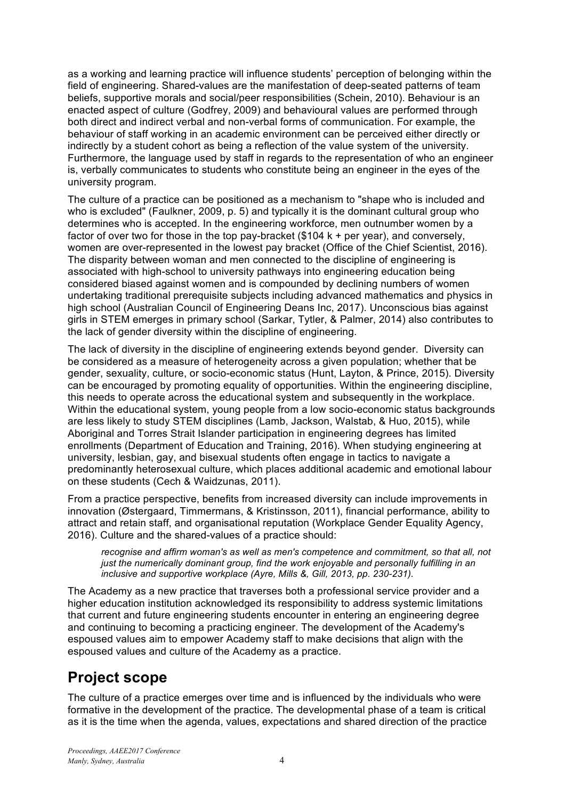as a working and learning practice will influence students' perception of belonging within the field of engineering. Shared-values are the manifestation of deep-seated patterns of team beliefs, supportive morals and social/peer responsibilities (Schein, 2010). Behaviour is an enacted aspect of culture (Godfrey, 2009) and behavioural values are performed through both direct and indirect verbal and non-verbal forms of communication. For example, the behaviour of staff working in an academic environment can be perceived either directly or indirectly by a student cohort as being a reflection of the value system of the university. Furthermore, the language used by staff in regards to the representation of who an engineer is, verbally communicates to students who constitute being an engineer in the eyes of the university program.

The culture of a practice can be positioned as a mechanism to "shape who is included and who is excluded" (Faulkner, 2009, p. 5) and typically it is the dominant cultural group who determines who is accepted. In the engineering workforce, men outnumber women by a factor of over two for those in the top pay-bracket (\$104 k + per year), and conversely, women are over-represented in the lowest pay bracket (Office of the Chief Scientist, 2016). The disparity between woman and men connected to the discipline of engineering is associated with high-school to university pathways into engineering education being considered biased against women and is compounded by declining numbers of women undertaking traditional prerequisite subjects including advanced mathematics and physics in high school (Australian Council of Engineering Deans Inc, 2017). Unconscious bias against girls in STEM emerges in primary school (Sarkar, Tytler, & Palmer, 2014) also contributes to the lack of gender diversity within the discipline of engineering.

The lack of diversity in the discipline of engineering extends beyond gender. Diversity can be considered as a measure of heterogeneity across a given population; whether that be gender, sexuality, culture, or socio-economic status (Hunt, Layton, & Prince, 2015). Diversity can be encouraged by promoting equality of opportunities. Within the engineering discipline, this needs to operate across the educational system and subsequently in the workplace. Within the educational system, young people from a low socio-economic status backgrounds are less likely to study STEM disciplines (Lamb, Jackson, Walstab, & Huo, 2015), while Aboriginal and Torres Strait Islander participation in engineering degrees has limited enrollments (Department of Education and Training, 2016). When studying engineering at university, lesbian, gay, and bisexual students often engage in tactics to navigate a predominantly heterosexual culture, which places additional academic and emotional labour on these students (Cech & Waidzunas, 2011).

From a practice perspective, benefits from increased diversity can include improvements in innovation (Østergaard, Timmermans, & Kristinsson, 2011), financial performance, ability to attract and retain staff, and organisational reputation (Workplace Gender Equality Agency, 2016). Culture and the shared-values of a practice should:

recognise and affirm woman's as well as men's competence and commitment, so that all, not *just the numerically dominant group, find the work enjoyable and personally fulfilling in an inclusive and supportive workplace (Ayre, Mills &, Gill, 2013, pp. 230-231).*

The Academy as a new practice that traverses both a professional service provider and a higher education institution acknowledged its responsibility to address systemic limitations that current and future engineering students encounter in entering an engineering degree and continuing to becoming a practicing engineer. The development of the Academy's espoused values aim to empower Academy staff to make decisions that align with the espoused values and culture of the Academy as a practice.

# **Project scope**

The culture of a practice emerges over time and is influenced by the individuals who were formative in the development of the practice. The developmental phase of a team is critical as it is the time when the agenda, values, expectations and shared direction of the practice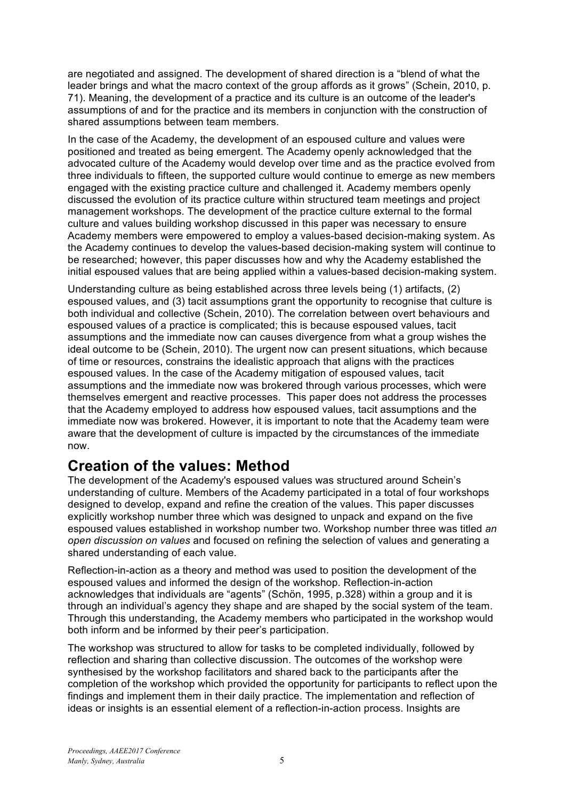are negotiated and assigned. The development of shared direction is a "blend of what the leader brings and what the macro context of the group affords as it grows" (Schein, 2010, p. 71). Meaning, the development of a practice and its culture is an outcome of the leader's assumptions of and for the practice and its members in conjunction with the construction of shared assumptions between team members.

In the case of the Academy, the development of an espoused culture and values were positioned and treated as being emergent. The Academy openly acknowledged that the advocated culture of the Academy would develop over time and as the practice evolved from three individuals to fifteen, the supported culture would continue to emerge as new members engaged with the existing practice culture and challenged it. Academy members openly discussed the evolution of its practice culture within structured team meetings and project management workshops. The development of the practice culture external to the formal culture and values building workshop discussed in this paper was necessary to ensure Academy members were empowered to employ a values-based decision-making system. As the Academy continues to develop the values-based decision-making system will continue to be researched; however, this paper discusses how and why the Academy established the initial espoused values that are being applied within a values-based decision-making system.

Understanding culture as being established across three levels being (1) artifacts, (2) espoused values, and (3) tacit assumptions grant the opportunity to recognise that culture is both individual and collective (Schein, 2010). The correlation between overt behaviours and espoused values of a practice is complicated; this is because espoused values, tacit assumptions and the immediate now can causes divergence from what a group wishes the ideal outcome to be (Schein, 2010). The urgent now can present situations, which because of time or resources, constrains the idealistic approach that aligns with the practices espoused values. In the case of the Academy mitigation of espoused values, tacit assumptions and the immediate now was brokered through various processes, which were themselves emergent and reactive processes. This paper does not address the processes that the Academy employed to address how espoused values, tacit assumptions and the immediate now was brokered. However, it is important to note that the Academy team were aware that the development of culture is impacted by the circumstances of the immediate now.

# **Creation of the values: Method**

The development of the Academy's espoused values was structured around Schein's understanding of culture. Members of the Academy participated in a total of four workshops designed to develop, expand and refine the creation of the values. This paper discusses explicitly workshop number three which was designed to unpack and expand on the five espoused values established in workshop number two. Workshop number three was titled *an open discussion on values* and focused on refining the selection of values and generating a shared understanding of each value.

Reflection-in-action as a theory and method was used to position the development of the espoused values and informed the design of the workshop. Reflection-in-action acknowledges that individuals are "agents" (Schön, 1995, p.328) within a group and it is through an individual's agency they shape and are shaped by the social system of the team. Through this understanding, the Academy members who participated in the workshop would both inform and be informed by their peer's participation.

The workshop was structured to allow for tasks to be completed individually, followed by reflection and sharing than collective discussion. The outcomes of the workshop were synthesised by the workshop facilitators and shared back to the participants after the completion of the workshop which provided the opportunity for participants to reflect upon the findings and implement them in their daily practice. The implementation and reflection of ideas or insights is an essential element of a reflection-in-action process. Insights are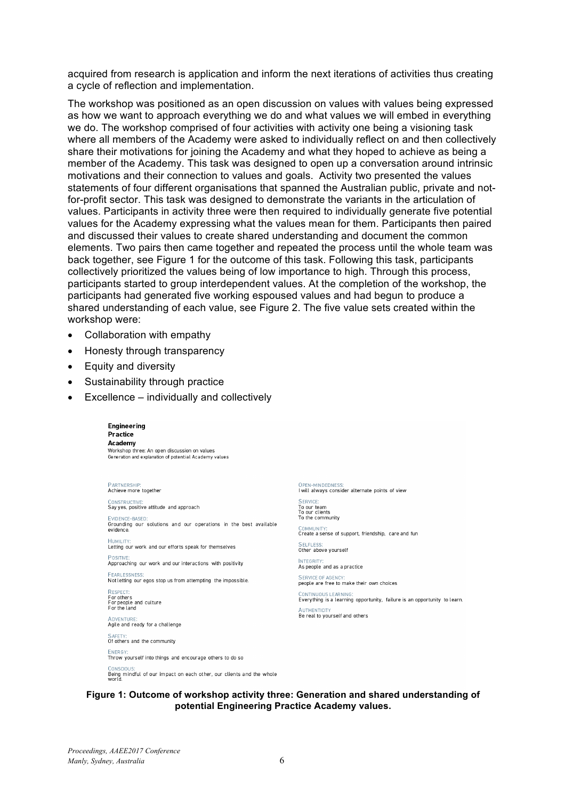acquired from research is application and inform the next iterations of activities thus creating a cycle of reflection and implementation.

The workshop was positioned as an open discussion on values with values being expressed as how we want to approach everything we do and what values we will embed in everything we do. The workshop comprised of four activities with activity one being a visioning task where all members of the Academy were asked to individually reflect on and then collectively share their motivations for joining the Academy and what they hoped to achieve as being a member of the Academy. This task was designed to open up a conversation around intrinsic motivations and their connection to values and goals. Activity two presented the values statements of four different organisations that spanned the Australian public, private and notfor-profit sector. This task was designed to demonstrate the variants in the articulation of values. Participants in activity three were then required to individually generate five potential values for the Academy expressing what the values mean for them. Participants then paired and discussed their values to create shared understanding and document the common elements. Two pairs then came together and repeated the process until the whole team was back together, see Figure 1 for the outcome of this task. Following this task, participants collectively prioritized the values being of low importance to high. Through this process, participants started to group interdependent values. At the completion of the workshop, the participants had generated five working espoused values and had begun to produce a shared understanding of each value, see Figure 2. The five value sets created within the workshop were:

- Collaboration with empathy
- Honesty through transparency
- Equity and diversity
- Sustainability through practice
- Excellence individually and collectively

| Engineering<br><b>Practice</b><br>Academy<br>Workshop three: An open discussion on values<br>Generation and explanation of potential Academy values |
|-----------------------------------------------------------------------------------------------------------------------------------------------------|
| PARTNERSHIP:<br>Achieve more together                                                                                                               |
| CONSTRUCTIVE:<br>Say yes, positive attitude and approach                                                                                            |
| EVIDENCE-BASED:<br>Grounding our solutions and our operations in the best available<br>evidence                                                     |
| HUMILITY:<br>Letting our work and our efforts speak for themselves                                                                                  |
| POSITIVE:<br>Approaching our work and our interactions with positivity                                                                              |
| <b>FEARLESSNESS:</b><br>Not letting our egos stop us from attempting the impossible.                                                                |
| RESPECT:<br>For others<br>For people and culture<br>For the land                                                                                    |
| <b>ADVENTURE:</b><br>Agile and ready for a challenge                                                                                                |
| SAFETY:<br>Of others and the community                                                                                                              |

ENFRGY Throw yourself into things and encourage others to do so CONSCIOUS:<br>Being mindful of our impact on each other, our clients and the whole<br>world. OPEN-MINDEDNESS:<br>I will always consider alternate points of view

SERVICE To our team<br>To our clients To the community

COMMUNITY:<br>Create a sense of support, friendship, care and fun **SELFLESS:** 

Other above yourself

**INTEGRITY** As people and as a practice

**SERVICE OF AGENCY** people are free to make their own choices

CONTINUOUS LEARNING:<br>Everything is a learning opportunity, failure is an opportunity to learn. **AUTHENTICITY** Be real to yourself and others

### **Figure 1: Outcome of workshop activity three: Generation and shared understanding of potential Engineering Practice Academy values.**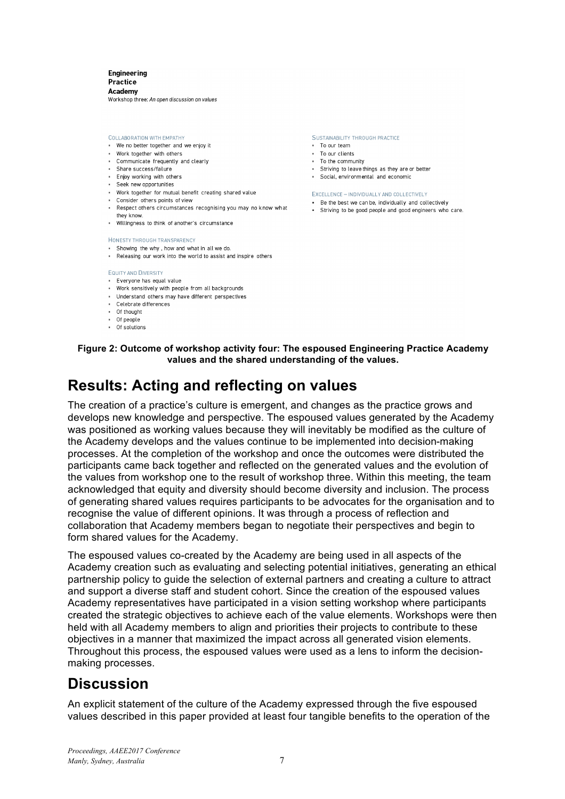Engineering **Dractica** Academy Workshop three: An open discussion on values

COLLABORATION WITH EMPATHY

- . We no better together and we enjoy it
- Work together with others
- Communicate frequently and clearly
- · Share success/failure
- Enjoy working with others - Seek new opportunities
- Work together for mutual benefit creating shared value
- Consider others points of view
- Respect others circumstances recognising you may no know what
- they know. - Willingness to think of another's circumstance

#### HONESTY THROUGH TRANSPARENCY

- . Showing the why, how and what in all we do.
- . Releasing our work into the world to assist and inspire others

### **EQUITY AND DIVERSITY**

- · Everyone has equal value
- Work sensitively with people from all backgrounds
- Understand others may have different perspectives · Celebrate differences
- 
- Of thought - Of people
- $\overline{\phantom{a}}$  Of solutions

SUSTAINABILITY THROUGH PRACTICE

- To our team
- To our clients - To the community
- Striving to leave things as they are or better
- Social, environmental and economic
- 

#### EXCELLENCE - INDIVIDUALLY AND COLLECTIVELY

- Be the best we can be, individually and collectively
- · Striving to be good people and good engineers who care.

**Figure 2: Outcome of workshop activity four: The espoused Engineering Practice Academy values and the shared understanding of the values.**

### **Results: Acting and reflecting on values**

The creation of a practice's culture is emergent, and changes as the practice grows and develops new knowledge and perspective. The espoused values generated by the Academy was positioned as working values because they will inevitably be modified as the culture of the Academy develops and the values continue to be implemented into decision-making processes. At the completion of the workshop and once the outcomes were distributed the participants came back together and reflected on the generated values and the evolution of the values from workshop one to the result of workshop three. Within this meeting, the team acknowledged that equity and diversity should become diversity and inclusion. The process of generating shared values requires participants to be advocates for the organisation and to recognise the value of different opinions. It was through a process of reflection and collaboration that Academy members began to negotiate their perspectives and begin to form shared values for the Academy.

The espoused values co-created by the Academy are being used in all aspects of the Academy creation such as evaluating and selecting potential initiatives, generating an ethical partnership policy to guide the selection of external partners and creating a culture to attract and support a diverse staff and student cohort. Since the creation of the espoused values Academy representatives have participated in a vision setting workshop where participants created the strategic objectives to achieve each of the value elements. Workshops were then held with all Academy members to align and priorities their projects to contribute to these objectives in a manner that maximized the impact across all generated vision elements. Throughout this process, the espoused values were used as a lens to inform the decisionmaking processes.

## **Discussion**

An explicit statement of the culture of the Academy expressed through the five espoused values described in this paper provided at least four tangible benefits to the operation of the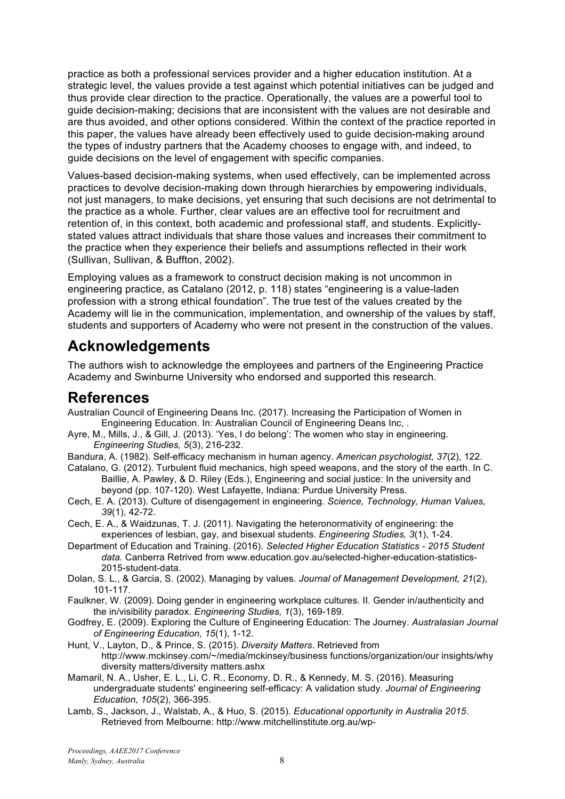practice as both a professional services provider and a higher education institution. At a strategic level, the values provide a test against which potential initiatives can be judged and thus provide clear direction to the practice. Operationally, the values are a powerful tool to guide decision-making; decisions that are inconsistent with the values are not desirable and are thus avoided, and other options considered. Within the context of the practice reported in this paper, the values have already been effectively used to guide decision-making around the types of industry partners that the Academy chooses to engage with, and indeed, to guide decisions on the level of engagement with specific companies.

Values-based decision-making systems, when used effectively, can be implemented across practices to devolve decision-making down through hierarchies by empowering individuals, not just managers, to make decisions, yet ensuring that such decisions are not detrimental to the practice as a whole. Further, clear values are an effective tool for recruitment and retention of, in this context, both academic and professional staff, and students. Explicitlystated values attract individuals that share those values and increases their commitment to the practice when they experience their beliefs and assumptions reflected in their work (Sullivan, Sullivan, & Buffton, 2002).

Employing values as a framework to construct decision making is not uncommon in engineering practice, as Catalano (2012, p. 118) states "engineering is a value-laden profession with a strong ethical foundation". The true test of the values created by the Academy will lie in the communication, implementation, and ownership of the values by staff, students and supporters of Academy who were not present in the construction of the values.

# **Acknowledgements**

The authors wish to acknowledge the employees and partners of the Engineering Practice Academy and Swinburne University who endorsed and supported this research.

### **References**

- Australian Council of Engineering Deans Inc. (2017). Increasing the Participation of Women in Engineering Education. In: Australian Council of Engineering Deans Inc, .
- Ayre, M., Mills, J., & Gill, J. (2013). 'Yes, I do belong': The women who stay in engineering. *Engineering Studies, 5*(3), 216-232.

Bandura, A. (1982). Self-efficacy mechanism in human agency. *American psychologist, 37*(2), 122.

- Catalano, G. (2012). Turbulent fluid mechanics, high speed weapons, and the story of the earth. In C. Baillie, A. Pawley, & D. Riley (Eds.), Engineering and social justice: In the university and beyond (pp. 107-120). West Lafayette, Indiana: Purdue University Press.
- Cech, E. A. (2013). Culture of disengagement in engineering. *Science, Technology, Human Values, 39*(1), 42-72.
- Cech, E. A., & Waidzunas, T. J. (2011). Navigating the heteronormativity of engineering: the experiences of lesbian, gay, and bisexual students. *Engineering Studies, 3*(1), 1-24.
- Department of Education and Training. (2016). *Selected Higher Education Statistics - 2015 Student data.* Canberra Retrived from www.education.gov.au/selected-higher-education-statistics-2015-student-data.
- Dolan, S. L., & Garcia, S. (2002). Managing by values. *Journal of Management Development, 21*(2), 101-117.
- Faulkner, W. (2009). Doing gender in engineering workplace cultures. II. Gender in/authenticity and the in/visibility paradox. *Engineering Studies, 1*(3), 169-189.
- Godfrey, E. (2009). Exploring the Culture of Engineering Education: The Journey. *Australasian Journal of Engineering Education, 15*(1), 1-12.
- Hunt, V., Layton, D., & Prince, S. (2015). *Diversity Matters*. Retrieved from http://www.mckinsey.com/~/media/mckinsey/business functions/organization/our insights/why diversity matters/diversity matters.ashx
- Mamaril, N. A., Usher, E. L., Li, C. R., Economy, D. R., & Kennedy, M. S. (2016). Measuring undergraduate students' engineering self-efficacy: A validation study. *Journal of Engineering Education, 105*(2), 366-395.
- Lamb, S., Jackson, J., Walstab, A., & Huo, S. (2015). *Educational opportunity in Australia 2015*. Retrieved from Melbourne: http://www.mitchellinstitute.org.au/wp-